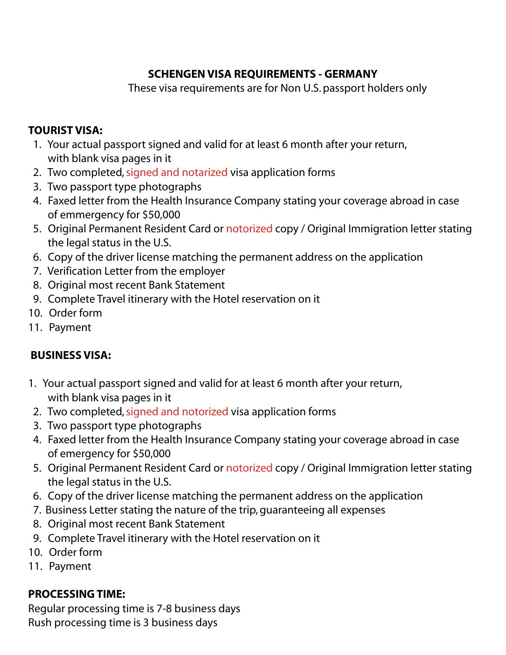# **SCHENGENVISA REQUIREMENTS - GERMANY**

These visa requirements are for Non U.S.passport holders only

#### **TOURIST VISA:**

- 1. Your actual passport signed and valid for at least 6 month after your return, with blank visa pages in it
- 2. Two completed, signed and notarized visa application forms
- 3. Two passport type photographs
- 4. Faxed letter from the Health Insurance Company stating your coverage abroad in case of emmergency for \$50,000
- 5. Original Permanent Resident Card or notorized copy / Original Immigration letter stating the legal status in the U.S.
- 6. Copy of the driver license matching the permanent address on the application
- 7. Verification Letter from the employer
- 8. Original most recent Bank Statement
- 9. Complete Travel itinerary with the Hotel reservation on it
- 10. Order form
- 11. Payment

# **BUSINESS VISA:**

- 1. Your actual passport signed and valid for at least 6 month after your return, with blank visa pages in it
- 2. Two completed, signed and notorized visa application forms
- 3. Two passport type photographs
- 4. Faxed letter from the Health Insurance Company stating your coverage abroad in case of emergency for \$50,000
- 5. Original Permanent Resident Card or notorized copy / Original Immigration letter stating the legal status in the U.S.
- 6. Copy of the driver license matching the permanent address on the application
- 7. Business Letter stating the nature of the trip, guaranteeing all expenses
- 8. Original most recent Bank Statement
- 9. Complete Travel itinerary with the Hotel reservation on it
- 10. Order form
- 11. Payment

# **PROCESSINGTIME:**

Regular processing time is 7-8 business days Rush processing time is 3 business days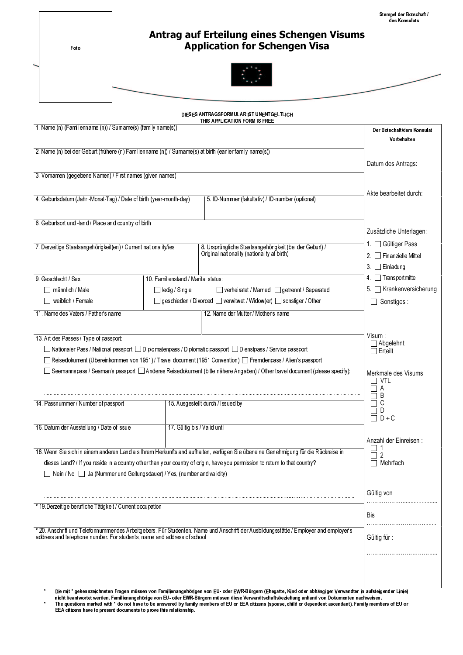- 
- 

Foto

#### Antrag auf Erteilung eines Schengen Visums Application for Schengen Visa



|                                                                                                                                                                                                                                                                                                                                                                                                |                                                                     | DIESES ANTRAGSFORMULAR IST UNENTGELTLICH<br>THIS APPLICATION FORM IS FREE                                                          |                                                                |
|------------------------------------------------------------------------------------------------------------------------------------------------------------------------------------------------------------------------------------------------------------------------------------------------------------------------------------------------------------------------------------------------|---------------------------------------------------------------------|------------------------------------------------------------------------------------------------------------------------------------|----------------------------------------------------------------|
| 1. Name (n) (Familienname (n)) / Surname(s) (family name(s))                                                                                                                                                                                                                                                                                                                                   | Der Botschaft/dem Konsulat<br>Vorbehalten                           |                                                                                                                                    |                                                                |
| 2. Name (n) bei der Geburt (frühere (r) Familienname (n)) / Surname(s) at birth (earlier family name(s))                                                                                                                                                                                                                                                                                       | Datum des Antrags:                                                  |                                                                                                                                    |                                                                |
| 3. Vornamen (gegebene Namen) / First names (given names)                                                                                                                                                                                                                                                                                                                                       |                                                                     |                                                                                                                                    |                                                                |
| 4. Geburtsdatum (Jahr -Monat-Tag) / Date of birth (year-month-day)                                                                                                                                                                                                                                                                                                                             |                                                                     | 5. ID-Nummer (fakultativ) / ID-number (optional)                                                                                   | Akte bearbeitet durch:                                         |
| 6. Geburtsort und -land / Place and country of birth                                                                                                                                                                                                                                                                                                                                           | Zusätzliche Unterlagen:                                             |                                                                                                                                    |                                                                |
| 7. Derzeitige Staatsangehörigkeit(en) / Current nationality/ies                                                                                                                                                                                                                                                                                                                                |                                                                     | 8. Ursprüngliche Staatsangehörigkeit (bei der Geburt) /<br>Original nationality (nationality at birth)                             | 1. □ Gültiger Pass<br>Finanzielle Mittel<br>2.<br>3. Einladung |
| 9. Geschlecht / Sex                                                                                                                                                                                                                                                                                                                                                                            | 10. Familienstand / Marital status:                                 |                                                                                                                                    | 4   Transportmittel                                            |
| männlich / Male                                                                                                                                                                                                                                                                                                                                                                                | □ ledig / Single                                                    | □ verheiratet / Married □ getrennt / Separated                                                                                     | 5. Krankenversicherung                                         |
| weiblich / Female                                                                                                                                                                                                                                                                                                                                                                              |                                                                     | □ geschieden / Divorced □ verwitwet / Widow(er) □ sonstiger / Other                                                                | Sonstiges:                                                     |
| 11. Name des Vaters / Father's name                                                                                                                                                                                                                                                                                                                                                            |                                                                     | 12. Name der Mutter / Mother's name                                                                                                |                                                                |
|                                                                                                                                                                                                                                                                                                                                                                                                |                                                                     |                                                                                                                                    |                                                                |
| 13. Art des Passes / Type of passport:<br>Nationaler Pass / National passport Diplomatenpass / Diplomatic passport Dienstpass / Service passport<br>Reisedokument (Übereinkommen von 1951) / Travel document (1951 Convention) [ Fremdenpass / Alien's passport<br>□ Seemannspass / Seaman's passport □ Anderes Reisedokument (bitte nähere Angaben) / Other travel document (please specify): | Visum :<br>Abgelehnt<br>⊤Erteilt<br>Merkmale des Visums<br>VTL<br>A |                                                                                                                                    |                                                                |
| 14. Passnummer / Number of passport                                                                                                                                                                                                                                                                                                                                                            |                                                                     | 15. Ausgestellt durch / Issued by                                                                                                  | B<br>C                                                         |
|                                                                                                                                                                                                                                                                                                                                                                                                |                                                                     |                                                                                                                                    | D<br>$D + C$<br>П                                              |
| 16. Datum der Ausstellung / Date of issue                                                                                                                                                                                                                                                                                                                                                      | 17. Gültig bis / Valid until                                        |                                                                                                                                    |                                                                |
|                                                                                                                                                                                                                                                                                                                                                                                                |                                                                     |                                                                                                                                    | Anzahl der Einreisen:                                          |
|                                                                                                                                                                                                                                                                                                                                                                                                |                                                                     | 18. Wenn Sie sich in einem anderen Land als Ihrem Herkunftsland aufhalten, verfügen Sie über eine Genehmigung für die Rückreise in | $\Box$ 1<br>2                                                  |
|                                                                                                                                                                                                                                                                                                                                                                                                |                                                                     | dieses Land? / If you reside in a country other than your country of origin, have you permission to return to that country?        | Mehrfach                                                       |
| Nein / No Ja (Nummer und Geltungsdauer) / Yes, (number and validity)                                                                                                                                                                                                                                                                                                                           |                                                                     |                                                                                                                                    |                                                                |
|                                                                                                                                                                                                                                                                                                                                                                                                | Gültig von                                                          |                                                                                                                                    |                                                                |
| * 19.Derzeitige berufliche Tätigkeit / Current occupation                                                                                                                                                                                                                                                                                                                                      |                                                                     |                                                                                                                                    |                                                                |
|                                                                                                                                                                                                                                                                                                                                                                                                |                                                                     |                                                                                                                                    | Bis                                                            |
| * 20. Anschrift und Telefonnummer des Arbeitgebers. Für Studenten, Name und Anschrift der Ausbildungsstätte / Employer and employer's<br>address and telephone number. For students, name and address of school                                                                                                                                                                                | Gültig für:                                                         |                                                                                                                                    |                                                                |
|                                                                                                                                                                                                                                                                                                                                                                                                |                                                                     |                                                                                                                                    |                                                                |
|                                                                                                                                                                                                                                                                                                                                                                                                |                                                                     |                                                                                                                                    |                                                                |

Die mit \* gekennzeichneten Fragen müssen von Familienangehörigen von EU- oder EWR-Bürgem (Ehegatte. Kind oder abhängiger Verwandter in aufsteigender Linie) – the Schleiten aufsteigender Linie) – the Schleiten von EU- oder nicht beantwortet werden. Familienangehörige von EU- oder EWR-Bürgern müssen diese Verwandtschaftsbeziehung anhand von Dokumenten nachweisen. Weisen  $\star$  . The state of the state of the state of the state of the state of the state of the state of the state of the state of the state of the state of the state of the state of the state of the state of the state of the st !© -3S
-( p3"
--3 - - ¤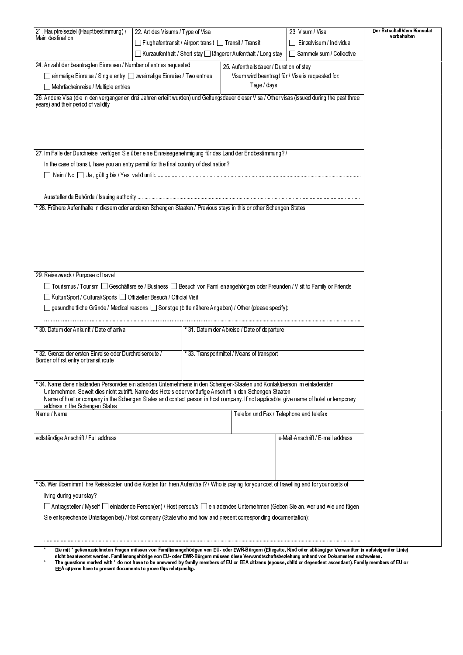| 21. Hauptreiseziel (Hauptbestimmung) /                                                                                                                                                                                                                                                | 22. Art des Visums / Type of Visa:                     |                                                               |                                           | 23. Visum / Visa:                                                                                                                                           | Der Botschaft/dem Konsulat<br>vorbehalten |  |  |  |  |
|---------------------------------------------------------------------------------------------------------------------------------------------------------------------------------------------------------------------------------------------------------------------------------------|--------------------------------------------------------|---------------------------------------------------------------|-------------------------------------------|-------------------------------------------------------------------------------------------------------------------------------------------------------------|-------------------------------------------|--|--|--|--|
| Main destination                                                                                                                                                                                                                                                                      | Flughafentransit / Airport transit   Transit / Transit |                                                               | Einzelvisum / Individual<br>$\Box$        |                                                                                                                                                             |                                           |  |  |  |  |
|                                                                                                                                                                                                                                                                                       |                                                        | Kurzaufenthalt / Short stay   längerer Aufenthalt / Long stay | Sammelvisum / Collective                  |                                                                                                                                                             |                                           |  |  |  |  |
| 24. Anzahl der beantragten Einreisen / Number of entries requested                                                                                                                                                                                                                    |                                                        |                                                               | 25. Aufenthaltsdauer / Duration of stay   |                                                                                                                                                             |                                           |  |  |  |  |
| □ einmalige Einreise / Single entry □ zweimalige Einreise / Two entries                                                                                                                                                                                                               |                                                        |                                                               |                                           | Visum wird beantragt für / Visa is requested for:                                                                                                           |                                           |  |  |  |  |
| Mehrfacheinreise / Multiple entries                                                                                                                                                                                                                                                   |                                                        |                                                               | Tage / days                               |                                                                                                                                                             |                                           |  |  |  |  |
| 26. Andere Visa (die in den vergangenen drei Jahren erteilt wurden) und Geltungsdauer dieser Visa / Other visas (issued during the past three<br>years) and their period of validity                                                                                                  |                                                        |                                                               |                                           |                                                                                                                                                             |                                           |  |  |  |  |
| 27. Im Falle der Durchreise, verfügen Sie über eine Einreisegenehmigung für das Land der Endbestimmung? /                                                                                                                                                                             |                                                        |                                                               |                                           |                                                                                                                                                             |                                           |  |  |  |  |
| In the case of transit, have you an entry permit for the final country of destination?                                                                                                                                                                                                |                                                        |                                                               |                                           |                                                                                                                                                             |                                           |  |  |  |  |
|                                                                                                                                                                                                                                                                                       |                                                        |                                                               |                                           |                                                                                                                                                             |                                           |  |  |  |  |
|                                                                                                                                                                                                                                                                                       |                                                        |                                                               |                                           |                                                                                                                                                             |                                           |  |  |  |  |
|                                                                                                                                                                                                                                                                                       |                                                        |                                                               |                                           |                                                                                                                                                             |                                           |  |  |  |  |
| * 28. Frühere Aufenthalte in diesem oder anderen Schengen-Staaten / Previous stays in this or other Schengen States                                                                                                                                                                   |                                                        |                                                               |                                           |                                                                                                                                                             |                                           |  |  |  |  |
| 29. Reisezweck / Purpose of travel                                                                                                                                                                                                                                                    |                                                        |                                                               |                                           |                                                                                                                                                             |                                           |  |  |  |  |
|                                                                                                                                                                                                                                                                                       |                                                        |                                                               |                                           |                                                                                                                                                             |                                           |  |  |  |  |
| Kultur/Sport / Cultural/Sports   Offizieller Besuch / Official Visit                                                                                                                                                                                                                  |                                                        |                                                               |                                           |                                                                                                                                                             |                                           |  |  |  |  |
| $\exists$ gesundheitliche Gründe / Medical reasons $\Box$ Sonstige (bitte nähere Angaben) / Other (please specify):                                                                                                                                                                   |                                                        |                                                               |                                           |                                                                                                                                                             |                                           |  |  |  |  |
|                                                                                                                                                                                                                                                                                       |                                                        |                                                               |                                           |                                                                                                                                                             |                                           |  |  |  |  |
| * 30. Datum der Ankunft / Date of arrival                                                                                                                                                                                                                                             | *31. Datum der Abreise / Date of departure             |                                                               |                                           |                                                                                                                                                             |                                           |  |  |  |  |
|                                                                                                                                                                                                                                                                                       |                                                        |                                                               |                                           |                                                                                                                                                             |                                           |  |  |  |  |
| * 32. Grenze der ersten Einreise oder Durchreiseroute /<br>Border of first entry or transit route                                                                                                                                                                                     |                                                        |                                                               | *33. Transportmittel / Means of transport |                                                                                                                                                             |                                           |  |  |  |  |
| * 34. Name der einladenden Person/des einladenden Unternehmens in den Schengen-Staaten und Kontaktperson im einladenden                                                                                                                                                               |                                                        |                                                               |                                           |                                                                                                                                                             |                                           |  |  |  |  |
| Unternehmen. Soweit dies nicht zutrifft, Name des Hotels oder vorläufige Anschrift in den Schengen Staaten<br>Name of host or company in the Schengen States and contact person in host company. If not applicable, give name of hotel or temporary<br>address in the Schengen States |                                                        |                                                               |                                           |                                                                                                                                                             |                                           |  |  |  |  |
| Name / Name                                                                                                                                                                                                                                                                           |                                                        |                                                               | Telefon und Fax / Telephone and telefax   |                                                                                                                                                             |                                           |  |  |  |  |
|                                                                                                                                                                                                                                                                                       |                                                        |                                                               |                                           |                                                                                                                                                             |                                           |  |  |  |  |
| vollständige Anschrift / Full address                                                                                                                                                                                                                                                 |                                                        |                                                               |                                           | e-Mail-Anschrift / E-mail address                                                                                                                           |                                           |  |  |  |  |
|                                                                                                                                                                                                                                                                                       |                                                        |                                                               |                                           |                                                                                                                                                             |                                           |  |  |  |  |
|                                                                                                                                                                                                                                                                                       |                                                        |                                                               |                                           |                                                                                                                                                             |                                           |  |  |  |  |
|                                                                                                                                                                                                                                                                                       |                                                        |                                                               |                                           |                                                                                                                                                             |                                           |  |  |  |  |
| * 35. Wer übernimmt Ihre Reisekosten und die Kosten für Ihren Aufenthalt? / Who is paying for your cost of travelling and for your costs of                                                                                                                                           |                                                        |                                                               |                                           |                                                                                                                                                             |                                           |  |  |  |  |
| living during your stay?                                                                                                                                                                                                                                                              |                                                        |                                                               |                                           |                                                                                                                                                             |                                           |  |  |  |  |
| <b>Official Antragsteller / Myself Or einladende Person(en) / Host person/s Or einladendes Unternehmen (Geben Sie an, wer und wie und fügen</b>                                                                                                                                       |                                                        |                                                               |                                           |                                                                                                                                                             |                                           |  |  |  |  |
| Sie entsprechende Unterlagen bei) / Host company (State who and how and present corresponding documentation):                                                                                                                                                                         |                                                        |                                                               |                                           |                                                                                                                                                             |                                           |  |  |  |  |
|                                                                                                                                                                                                                                                                                       |                                                        |                                                               |                                           |                                                                                                                                                             |                                           |  |  |  |  |
|                                                                                                                                                                                                                                                                                       |                                                        |                                                               |                                           |                                                                                                                                                             |                                           |  |  |  |  |
|                                                                                                                                                                                                                                                                                       |                                                        |                                                               |                                           | Die mit * gekennzeichneten Fragen müssen von Familienangehörigen von EU- oder EWR-Bürgem (Ehegatte, Kind oder abhängiger Verwandter in aufsteigender Linie) |                                           |  |  |  |  |

nicht beantwortet werden. Familienangehörige von EU-oder EWR-Bürgern müssen diese Verwandtschaftsbeziehung anhand von Dokumenten nachweisen.<br>The questions marked with \* do not have to be answered by family members of EU or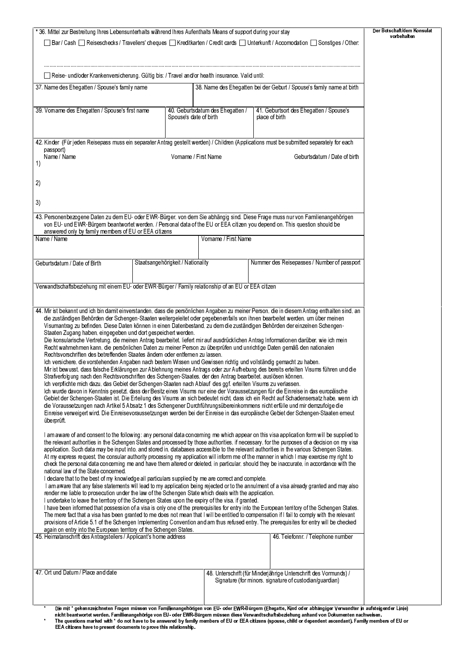| □ Bar / Cash □ Reiseschecks / Travellers' cheques □ Kreditkarten / Credit cards □ Unterkunft / Accomodation □ Sonstiges / Other:<br>□ Reise- und/oder Krankenversicherung. Gültig bis: / Travel and/or health insurance. Valid until:                                                                                                                                                                                                                                                                                                                                                                                                                                                                                                                                                                                                                                                                                                                                                                                                                                                                                                                                                                                                                                                                                                                                                                                                                                                                                                                                                                                                                                                                                                                                                                                                                                                                                                                                                                                                                                                                                                                                                                                                                                                                                                                                                                                                                                                                                                                                                                                                                                                                                                                                                                                                                                                                                                                                                                                                                                                                                                                                          |                                   |                                  |                                                                                                                             |                                                                       | vorbehalten |
|--------------------------------------------------------------------------------------------------------------------------------------------------------------------------------------------------------------------------------------------------------------------------------------------------------------------------------------------------------------------------------------------------------------------------------------------------------------------------------------------------------------------------------------------------------------------------------------------------------------------------------------------------------------------------------------------------------------------------------------------------------------------------------------------------------------------------------------------------------------------------------------------------------------------------------------------------------------------------------------------------------------------------------------------------------------------------------------------------------------------------------------------------------------------------------------------------------------------------------------------------------------------------------------------------------------------------------------------------------------------------------------------------------------------------------------------------------------------------------------------------------------------------------------------------------------------------------------------------------------------------------------------------------------------------------------------------------------------------------------------------------------------------------------------------------------------------------------------------------------------------------------------------------------------------------------------------------------------------------------------------------------------------------------------------------------------------------------------------------------------------------------------------------------------------------------------------------------------------------------------------------------------------------------------------------------------------------------------------------------------------------------------------------------------------------------------------------------------------------------------------------------------------------------------------------------------------------------------------------------------------------------------------------------------------------------------------------------------------------------------------------------------------------------------------------------------------------------------------------------------------------------------------------------------------------------------------------------------------------------------------------------------------------------------------------------------------------------------------------------------------------------------------------------------------------|-----------------------------------|----------------------------------|-----------------------------------------------------------------------------------------------------------------------------|-----------------------------------------------------------------------|-------------|
|                                                                                                                                                                                                                                                                                                                                                                                                                                                                                                                                                                                                                                                                                                                                                                                                                                                                                                                                                                                                                                                                                                                                                                                                                                                                                                                                                                                                                                                                                                                                                                                                                                                                                                                                                                                                                                                                                                                                                                                                                                                                                                                                                                                                                                                                                                                                                                                                                                                                                                                                                                                                                                                                                                                                                                                                                                                                                                                                                                                                                                                                                                                                                                                |                                   |                                  |                                                                                                                             |                                                                       |             |
|                                                                                                                                                                                                                                                                                                                                                                                                                                                                                                                                                                                                                                                                                                                                                                                                                                                                                                                                                                                                                                                                                                                                                                                                                                                                                                                                                                                                                                                                                                                                                                                                                                                                                                                                                                                                                                                                                                                                                                                                                                                                                                                                                                                                                                                                                                                                                                                                                                                                                                                                                                                                                                                                                                                                                                                                                                                                                                                                                                                                                                                                                                                                                                                |                                   |                                  |                                                                                                                             |                                                                       |             |
|                                                                                                                                                                                                                                                                                                                                                                                                                                                                                                                                                                                                                                                                                                                                                                                                                                                                                                                                                                                                                                                                                                                                                                                                                                                                                                                                                                                                                                                                                                                                                                                                                                                                                                                                                                                                                                                                                                                                                                                                                                                                                                                                                                                                                                                                                                                                                                                                                                                                                                                                                                                                                                                                                                                                                                                                                                                                                                                                                                                                                                                                                                                                                                                |                                   |                                  |                                                                                                                             |                                                                       |             |
|                                                                                                                                                                                                                                                                                                                                                                                                                                                                                                                                                                                                                                                                                                                                                                                                                                                                                                                                                                                                                                                                                                                                                                                                                                                                                                                                                                                                                                                                                                                                                                                                                                                                                                                                                                                                                                                                                                                                                                                                                                                                                                                                                                                                                                                                                                                                                                                                                                                                                                                                                                                                                                                                                                                                                                                                                                                                                                                                                                                                                                                                                                                                                                                |                                   |                                  |                                                                                                                             |                                                                       |             |
| 37. Name des Ehegatten / Spouse's family name                                                                                                                                                                                                                                                                                                                                                                                                                                                                                                                                                                                                                                                                                                                                                                                                                                                                                                                                                                                                                                                                                                                                                                                                                                                                                                                                                                                                                                                                                                                                                                                                                                                                                                                                                                                                                                                                                                                                                                                                                                                                                                                                                                                                                                                                                                                                                                                                                                                                                                                                                                                                                                                                                                                                                                                                                                                                                                                                                                                                                                                                                                                                  |                                   |                                  |                                                                                                                             | 38. Name des Ehegatten bei der Geburt / Spouse's family name at birth |             |
|                                                                                                                                                                                                                                                                                                                                                                                                                                                                                                                                                                                                                                                                                                                                                                                                                                                                                                                                                                                                                                                                                                                                                                                                                                                                                                                                                                                                                                                                                                                                                                                                                                                                                                                                                                                                                                                                                                                                                                                                                                                                                                                                                                                                                                                                                                                                                                                                                                                                                                                                                                                                                                                                                                                                                                                                                                                                                                                                                                                                                                                                                                                                                                                |                                   |                                  |                                                                                                                             |                                                                       |             |
| 39. Vorname des Ehegatten / Spouse's first name                                                                                                                                                                                                                                                                                                                                                                                                                                                                                                                                                                                                                                                                                                                                                                                                                                                                                                                                                                                                                                                                                                                                                                                                                                                                                                                                                                                                                                                                                                                                                                                                                                                                                                                                                                                                                                                                                                                                                                                                                                                                                                                                                                                                                                                                                                                                                                                                                                                                                                                                                                                                                                                                                                                                                                                                                                                                                                                                                                                                                                                                                                                                |                                   | 40. Geburtsdatum des Ehegatten / | 41. Geburtsort des Ehegatten / Spouse's                                                                                     |                                                                       |             |
|                                                                                                                                                                                                                                                                                                                                                                                                                                                                                                                                                                                                                                                                                                                                                                                                                                                                                                                                                                                                                                                                                                                                                                                                                                                                                                                                                                                                                                                                                                                                                                                                                                                                                                                                                                                                                                                                                                                                                                                                                                                                                                                                                                                                                                                                                                                                                                                                                                                                                                                                                                                                                                                                                                                                                                                                                                                                                                                                                                                                                                                                                                                                                                                | Spouse's date of birth            |                                  | place of birth                                                                                                              |                                                                       |             |
|                                                                                                                                                                                                                                                                                                                                                                                                                                                                                                                                                                                                                                                                                                                                                                                                                                                                                                                                                                                                                                                                                                                                                                                                                                                                                                                                                                                                                                                                                                                                                                                                                                                                                                                                                                                                                                                                                                                                                                                                                                                                                                                                                                                                                                                                                                                                                                                                                                                                                                                                                                                                                                                                                                                                                                                                                                                                                                                                                                                                                                                                                                                                                                                |                                   |                                  |                                                                                                                             |                                                                       |             |
| 42. Kinder (Für jeden Reisepass muss ein separater Antrag gestellt werden) / Children (Applications must be submitted separately for each                                                                                                                                                                                                                                                                                                                                                                                                                                                                                                                                                                                                                                                                                                                                                                                                                                                                                                                                                                                                                                                                                                                                                                                                                                                                                                                                                                                                                                                                                                                                                                                                                                                                                                                                                                                                                                                                                                                                                                                                                                                                                                                                                                                                                                                                                                                                                                                                                                                                                                                                                                                                                                                                                                                                                                                                                                                                                                                                                                                                                                      |                                   |                                  |                                                                                                                             |                                                                       |             |
| passport)<br>Name / Name                                                                                                                                                                                                                                                                                                                                                                                                                                                                                                                                                                                                                                                                                                                                                                                                                                                                                                                                                                                                                                                                                                                                                                                                                                                                                                                                                                                                                                                                                                                                                                                                                                                                                                                                                                                                                                                                                                                                                                                                                                                                                                                                                                                                                                                                                                                                                                                                                                                                                                                                                                                                                                                                                                                                                                                                                                                                                                                                                                                                                                                                                                                                                       | Vorname / First Name              |                                  |                                                                                                                             | Geburtsdatum / Date of birth                                          |             |
| 1)                                                                                                                                                                                                                                                                                                                                                                                                                                                                                                                                                                                                                                                                                                                                                                                                                                                                                                                                                                                                                                                                                                                                                                                                                                                                                                                                                                                                                                                                                                                                                                                                                                                                                                                                                                                                                                                                                                                                                                                                                                                                                                                                                                                                                                                                                                                                                                                                                                                                                                                                                                                                                                                                                                                                                                                                                                                                                                                                                                                                                                                                                                                                                                             |                                   |                                  |                                                                                                                             |                                                                       |             |
|                                                                                                                                                                                                                                                                                                                                                                                                                                                                                                                                                                                                                                                                                                                                                                                                                                                                                                                                                                                                                                                                                                                                                                                                                                                                                                                                                                                                                                                                                                                                                                                                                                                                                                                                                                                                                                                                                                                                                                                                                                                                                                                                                                                                                                                                                                                                                                                                                                                                                                                                                                                                                                                                                                                                                                                                                                                                                                                                                                                                                                                                                                                                                                                |                                   |                                  |                                                                                                                             |                                                                       |             |
| 2)                                                                                                                                                                                                                                                                                                                                                                                                                                                                                                                                                                                                                                                                                                                                                                                                                                                                                                                                                                                                                                                                                                                                                                                                                                                                                                                                                                                                                                                                                                                                                                                                                                                                                                                                                                                                                                                                                                                                                                                                                                                                                                                                                                                                                                                                                                                                                                                                                                                                                                                                                                                                                                                                                                                                                                                                                                                                                                                                                                                                                                                                                                                                                                             |                                   |                                  |                                                                                                                             |                                                                       |             |
|                                                                                                                                                                                                                                                                                                                                                                                                                                                                                                                                                                                                                                                                                                                                                                                                                                                                                                                                                                                                                                                                                                                                                                                                                                                                                                                                                                                                                                                                                                                                                                                                                                                                                                                                                                                                                                                                                                                                                                                                                                                                                                                                                                                                                                                                                                                                                                                                                                                                                                                                                                                                                                                                                                                                                                                                                                                                                                                                                                                                                                                                                                                                                                                |                                   |                                  |                                                                                                                             |                                                                       |             |
| 3)                                                                                                                                                                                                                                                                                                                                                                                                                                                                                                                                                                                                                                                                                                                                                                                                                                                                                                                                                                                                                                                                                                                                                                                                                                                                                                                                                                                                                                                                                                                                                                                                                                                                                                                                                                                                                                                                                                                                                                                                                                                                                                                                                                                                                                                                                                                                                                                                                                                                                                                                                                                                                                                                                                                                                                                                                                                                                                                                                                                                                                                                                                                                                                             |                                   |                                  |                                                                                                                             |                                                                       |             |
| 43. Personenbezogene Daten zu dem EU- oder EWR-Bürger, von dem Sie abhängig sind. Diese Frage muss nur von Familienangehörigen                                                                                                                                                                                                                                                                                                                                                                                                                                                                                                                                                                                                                                                                                                                                                                                                                                                                                                                                                                                                                                                                                                                                                                                                                                                                                                                                                                                                                                                                                                                                                                                                                                                                                                                                                                                                                                                                                                                                                                                                                                                                                                                                                                                                                                                                                                                                                                                                                                                                                                                                                                                                                                                                                                                                                                                                                                                                                                                                                                                                                                                 |                                   |                                  |                                                                                                                             |                                                                       |             |
| von EU- und EWR-Bürgern beantwortet werden. / Personal data of the EU or EEA citizen you depend on. This question should be<br>answered only by family members of EU or EEA citizens                                                                                                                                                                                                                                                                                                                                                                                                                                                                                                                                                                                                                                                                                                                                                                                                                                                                                                                                                                                                                                                                                                                                                                                                                                                                                                                                                                                                                                                                                                                                                                                                                                                                                                                                                                                                                                                                                                                                                                                                                                                                                                                                                                                                                                                                                                                                                                                                                                                                                                                                                                                                                                                                                                                                                                                                                                                                                                                                                                                           |                                   |                                  |                                                                                                                             |                                                                       |             |
| Name / Name                                                                                                                                                                                                                                                                                                                                                                                                                                                                                                                                                                                                                                                                                                                                                                                                                                                                                                                                                                                                                                                                                                                                                                                                                                                                                                                                                                                                                                                                                                                                                                                                                                                                                                                                                                                                                                                                                                                                                                                                                                                                                                                                                                                                                                                                                                                                                                                                                                                                                                                                                                                                                                                                                                                                                                                                                                                                                                                                                                                                                                                                                                                                                                    |                                   | Vorname / First Name             |                                                                                                                             |                                                                       |             |
|                                                                                                                                                                                                                                                                                                                                                                                                                                                                                                                                                                                                                                                                                                                                                                                                                                                                                                                                                                                                                                                                                                                                                                                                                                                                                                                                                                                                                                                                                                                                                                                                                                                                                                                                                                                                                                                                                                                                                                                                                                                                                                                                                                                                                                                                                                                                                                                                                                                                                                                                                                                                                                                                                                                                                                                                                                                                                                                                                                                                                                                                                                                                                                                |                                   |                                  |                                                                                                                             |                                                                       |             |
| Geburtsdatum / Date of Birth                                                                                                                                                                                                                                                                                                                                                                                                                                                                                                                                                                                                                                                                                                                                                                                                                                                                                                                                                                                                                                                                                                                                                                                                                                                                                                                                                                                                                                                                                                                                                                                                                                                                                                                                                                                                                                                                                                                                                                                                                                                                                                                                                                                                                                                                                                                                                                                                                                                                                                                                                                                                                                                                                                                                                                                                                                                                                                                                                                                                                                                                                                                                                   | Staatsangehörigkeit / Nationality |                                  |                                                                                                                             | Nummer des Reisepasses / Number of passport                           |             |
|                                                                                                                                                                                                                                                                                                                                                                                                                                                                                                                                                                                                                                                                                                                                                                                                                                                                                                                                                                                                                                                                                                                                                                                                                                                                                                                                                                                                                                                                                                                                                                                                                                                                                                                                                                                                                                                                                                                                                                                                                                                                                                                                                                                                                                                                                                                                                                                                                                                                                                                                                                                                                                                                                                                                                                                                                                                                                                                                                                                                                                                                                                                                                                                |                                   |                                  |                                                                                                                             |                                                                       |             |
|                                                                                                                                                                                                                                                                                                                                                                                                                                                                                                                                                                                                                                                                                                                                                                                                                                                                                                                                                                                                                                                                                                                                                                                                                                                                                                                                                                                                                                                                                                                                                                                                                                                                                                                                                                                                                                                                                                                                                                                                                                                                                                                                                                                                                                                                                                                                                                                                                                                                                                                                                                                                                                                                                                                                                                                                                                                                                                                                                                                                                                                                                                                                                                                |                                   |                                  |                                                                                                                             |                                                                       |             |
| Verwandtschaftsbeziehung mit einem EU- oder EWR-Bürger / Family relationship of an EU or EEA citizen                                                                                                                                                                                                                                                                                                                                                                                                                                                                                                                                                                                                                                                                                                                                                                                                                                                                                                                                                                                                                                                                                                                                                                                                                                                                                                                                                                                                                                                                                                                                                                                                                                                                                                                                                                                                                                                                                                                                                                                                                                                                                                                                                                                                                                                                                                                                                                                                                                                                                                                                                                                                                                                                                                                                                                                                                                                                                                                                                                                                                                                                           |                                   |                                  |                                                                                                                             |                                                                       |             |
|                                                                                                                                                                                                                                                                                                                                                                                                                                                                                                                                                                                                                                                                                                                                                                                                                                                                                                                                                                                                                                                                                                                                                                                                                                                                                                                                                                                                                                                                                                                                                                                                                                                                                                                                                                                                                                                                                                                                                                                                                                                                                                                                                                                                                                                                                                                                                                                                                                                                                                                                                                                                                                                                                                                                                                                                                                                                                                                                                                                                                                                                                                                                                                                |                                   |                                  |                                                                                                                             |                                                                       |             |
| Staaten Zugang haben, eingegeben und dort gespeichert werden.<br>Die konsularische Vertretung, die meinen Antrag bearbeitet, liefert mir auf ausdrücklichen Antrag Informationen darüber, wie ich mein<br>Recht wahrnehmen kann, die persönlichen Daten zu meiner Person zu überprüfen und unrichtige Daten gemäß den nationalen<br>Rechtsvorschriften des betreffenden Staates ändern oder entfernen zu lassen.<br>Ich versichere, die vorstehenden Angaben nach bestem Wissen und Gewissen richtig und vollständig gemacht zu haben.<br>Mir ist bewusst, dass falsche Erklärungen zur Ablehnung meines Antrags oder zur Aufhebung des bereits erteilten Visums führen und die<br>Strafverfolgung nach den Rechtsvorschriften des Schengen-Staates, der den Antrag bearbeitet, auslösen können.<br>Ich verpflichte mich dazu, das Gebiet der Schengen-Staaten nach Ablauf des ggf. erteilten Visums zu verlassen.<br>Ich wurde davon in Kenntnis gesetzt, dass der Besitz eines Visums nur eine der Voraussetzungen für die Einreise in das europäische<br>Gebiet der Schengen-Staaten ist. Die Erteilung des Visums an sich bedeutet nicht, dass ich ein Recht auf Schadensersatz habe, wenn ich<br>die Voraussetzungen nach Artikel 5 Absatz 1 des Schengener Durchführungsübereinkommens nicht erfülle und mir demzufolge die<br>Einreise verweigert wird. Die Einreisevoraussetzungen werden bei der Einreise in das europäische Gebiet der Schengen-Staaten erneut<br>überprüft<br>am aware of and consent to the following; any personal data concerning me which appear on this visa application form will be supplied to<br>the relevant authorities in the Schengen States and processed by those authorities, if necessary, for the purposes of a decision on my visa<br>application. Such data may be input into, and stored in, databases accessible to the relevant authorities in the various Schengen States.<br>At my express request, the consular authority processing my application will inform me of the manner in which I may exercise my right to<br>check the personal data concerning me and have them altered or deleted, in particular, should they be inaccurate, in accordance with the<br>national law of the State concerned.<br>I declare that to the best of my knowledge all particulars supplied by me are correct and complete.<br>I am aware that any false statements will lead to my application being rejected or to the annulment of a visa already granted and may also<br>render me liable to prosecution under the law of the Schengen State which deals with the application.<br>I undertake to leave the territory of the Schengen States upon the expiry of the visa, if granted.<br>I have been informed that possession of a visa is only one of the prerequisites for entry into the European territory of the Schengen States.<br>The mere fact that a visa has been granted to me does not mean that I will be entitled to compensation if I fail to comply with the relevant<br>provisions of Article 5.1 of the Schengen Implementing Convention and am thus refused entry. The prerequisites for entry will be checked |                                   |                                  |                                                                                                                             |                                                                       |             |
| again on entry into the European territory of the Schengen States.<br>45. Heimatanschrift des Antragstellers / Applicant's home address<br>47. Ort und Datum / Place and date                                                                                                                                                                                                                                                                                                                                                                                                                                                                                                                                                                                                                                                                                                                                                                                                                                                                                                                                                                                                                                                                                                                                                                                                                                                                                                                                                                                                                                                                                                                                                                                                                                                                                                                                                                                                                                                                                                                                                                                                                                                                                                                                                                                                                                                                                                                                                                                                                                                                                                                                                                                                                                                                                                                                                                                                                                                                                                                                                                                                  |                                   |                                  | 48. Unterschrift (für Minderjährige Unterschrift des Vormunds) /<br>Signature (for minors, signature of custodian/guardian) | 46. Telefonnr. / Telephone number                                     |             |
|                                                                                                                                                                                                                                                                                                                                                                                                                                                                                                                                                                                                                                                                                                                                                                                                                                                                                                                                                                                                                                                                                                                                                                                                                                                                                                                                                                                                                                                                                                                                                                                                                                                                                                                                                                                                                                                                                                                                                                                                                                                                                                                                                                                                                                                                                                                                                                                                                                                                                                                                                                                                                                                                                                                                                                                                                                                                                                                                                                                                                                                                                                                                                                                |                                   |                                  |                                                                                                                             |                                                                       |             |
|                                                                                                                                                                                                                                                                                                                                                                                                                                                                                                                                                                                                                                                                                                                                                                                                                                                                                                                                                                                                                                                                                                                                                                                                                                                                                                                                                                                                                                                                                                                                                                                                                                                                                                                                                                                                                                                                                                                                                                                                                                                                                                                                                                                                                                                                                                                                                                                                                                                                                                                                                                                                                                                                                                                                                                                                                                                                                                                                                                                                                                                                                                                                                                                |                                   |                                  |                                                                                                                             |                                                                       |             |